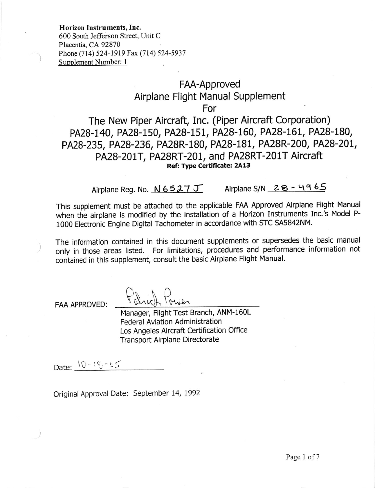Horizon Instruments, Inc.

600 South Jefferson Street, Unit C Placentia, CA 92870 Phone (714) 524-1919 Fax (714) 524-5937 Supplement Number: <sup>1</sup>

## FAA-Approved Airplane Flight Manual Supplement

For

The New Piper Aircraft, Inc. (Piper Aircraft Corporation) PA28-140, PA28-150, PA28-151, PA28-160, PA28-161, PA28-180, PA28-235, PA28-236, PA28R-180, PA28-181, PA28R-200, PA28-201, PA28-201T, PA28RT-201, and PA28RT-201T Aircraft<br>Ref: Type Certificate: 2A13

Airplane Reg. No.  $N$  6527 J Airplane S/N 28 - 4965

This supplement must be attached to the applicable FAA Approved Airplane Flight Manual when the airplane is modified by the installation of a Horizon Instruments Inc.'s Model P-1000 Electronic Engine Digital Tachometer in accordance with STC SA5842NM.

The information contained in this document supplements or supersedes the basic manual only in those areas listed. For limitations, procedures and performance information not contained in this supplement, consult the basic Airplane Flight Manual.

FAA APPROVED:

 $\forall$  atrich tower Manager, Flight Test Branch, ANM-160L Federal Aviation Administration Los Angeles Aircraft Certification Office Transport Airplane Directorate

Date:  $10 - 16 - 05$ 

Original Approval Date: September 14, 1992

 $C_{n}$   $n$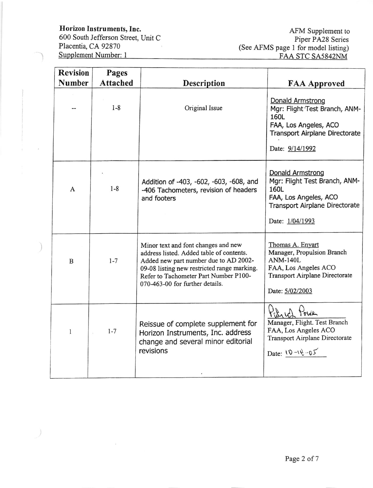Horizon Instruments, Inc.

 $\big)$ 

600 South Jefferson Street, Unit C Placentia, CA 92870 Supplement Number: 1

AFM Supplement to Piper PA28 Series (See AFMS page 1 for model listing) FAA STC SA5842NM

| <b>Revision</b> | Pages           |                                                                                                                                                                                                                                                     |                                                                                                                                                       |  |  |  |
|-----------------|-----------------|-----------------------------------------------------------------------------------------------------------------------------------------------------------------------------------------------------------------------------------------------------|-------------------------------------------------------------------------------------------------------------------------------------------------------|--|--|--|
| <b>Number</b>   | <b>Attached</b> | <b>Description</b>                                                                                                                                                                                                                                  | <b>FAA Approved</b>                                                                                                                                   |  |  |  |
|                 | $1 - 8$         | Original Issue                                                                                                                                                                                                                                      | Donald Armstrong<br>Mgr: Flight Test Branch, ANM-<br>160L<br>FAA, Los Angeles, ACO<br><b>Transport Airplane Directorate</b><br>Date: 9/14/1992        |  |  |  |
| A               | $1-8$           | Addition of -403, -602, -603, -608, and<br>-406 Tachometers, revision of headers<br>and footers                                                                                                                                                     | <b>Donald Armstrong</b><br>Mgr: Flight Test Branch, ANM-<br>160L<br>FAA, Los Angeles, ACO<br><b>Transport Airplane Directorate</b><br>Date: 1/04/1993 |  |  |  |
| $\mathbf B$     | $1 - 7$         | Minor text and font changes and new<br>address listed. Added table of contents.<br>Added new part number due to AD 2002-<br>09-08 listing new restricted range marking.<br>Refer to Tachometer Part Number P100-<br>070-463-00 for further details. | Thomas A. Enyart<br>Manager, Propulsion Branch<br><b>ANM-140L</b><br>FAA, Los Angeles ACO<br>Transport Airplane Directorate<br>Date: 5/02/2003        |  |  |  |
| 1               | $1 - 7$         | Reissue of complete supplement for<br>Horizon Instruments, Inc. address<br>change and several minor editorial<br>revisions                                                                                                                          | Patrick Power<br>Manager, Flight. Test Branch<br>FAA, Los Angeles ACO<br>Transport Airplane Directorate<br>Date: $10 - 16 - 05$                       |  |  |  |